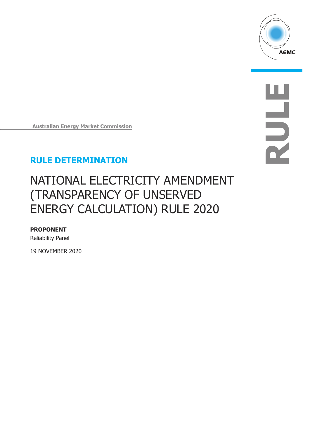

**RULE**

**Australian Energy Market Commission**

### **RULE DETERMINATION**

# NATIONAL ELECTRICITY AMENDMENT (TRANSPARENCY OF UNSERVED ENERGY CALCULATION) RULE 2020

#### **PROPONENT**

Reliability Panel

19 NOVEMBER 2020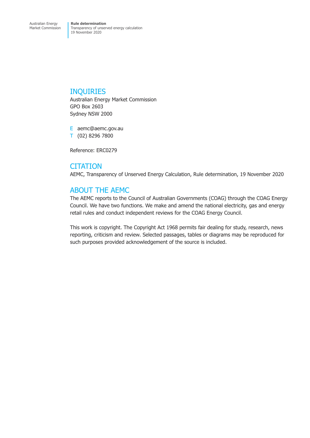### INQUIRIES

Australian Energy Market Commission GPO Box 2603 Sydney NSW 2000

E aemc@aemc.gov.au T (02) 8296 7800

Reference: ERC0279

### **CITATION**

AEMC, Transparency of Unserved Energy Calculation, Rule determination, 19 November 2020

### ABOUT THE AEMC

The AEMC reports to the Council of Australian Governments (COAG) through the COAG Energy Council. We have two functions. We make and amend the national electricity, gas and energy retail rules and conduct independent reviews for the COAG Energy Council.

This work is copyright. The Copyright Act 1968 permits fair dealing for study, research, news reporting, criticism and review. Selected passages, tables or diagrams may be reproduced for such purposes provided acknowledgement of the source is included.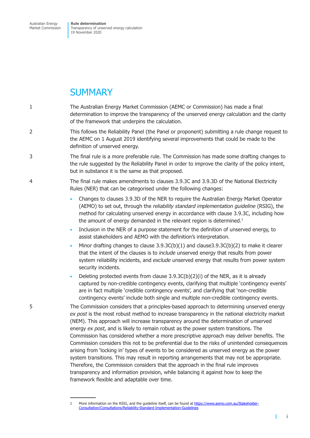### **SUMMARY**

- 1 The Australian Energy Market Commission (AEMC or Commission) has made a final determination to improve the transparency of the unserved energy calculation and the clarity of the framework that underpins the calculation.
- 2 This follows the Reliability Panel (the Panel or proponent) submitting a rule change request to the AEMC on 1 August 2019 identifying several improvements that could be made to the definition of unserved energy.
- 3 The final rule is a more preferable rule. The Commission has made some drafting changes to the rule suggested by the Reliability Panel in order to improve the clarity of the policy intent, but in substance it is the same as that proposed.
- 4 The final rule makes amendments to clauses 3.9.3C and 3.9.3D of the National Electricity Rules (NER) that can be categorised under the following changes:
	- Changes to clauses 3.9.3D of the NER to require the Australian Energy Market Operator (AEMO) to set out, through the *reliability standard implementation guideline* (RSIG), the method for calculating unserved energy in accordance with clause 3.9.3C, including how the amount of energy demanded in the relevant region is determined.<sup>1</sup>
	- Inclusion in the NER of a purpose statement for the definition of unserved energy, to assist stakeholders and AEMO with the definition's interpretation.
	- Minor drafting changes to clause  $3.9.3C(b)(1)$  and clause  $3.9.3C(b)(2)$  to make it clearer that the intent of the clauses is to *include* unserved energy that results from power system reliability incidents, and *exclude* unserved energy that results from power system security incidents.
	- Deleting protected events from clause  $3.9.3C(b)(2)(i)$  of the NER, as it is already captured by non-credible contingency events, clarifying that multiple 'contingency events' are in fact multiple 'credible contingency events', and clarifying that 'non-credible contingency events' include both single and multiple non-credible contingency events.

5 The Commission considers that a principles-based approach to determining unserved energy *ex post* is the most robust method to increase transparency in the national electricity market (NEM). This approach will increase transparency around the determination of unserved energy *ex post*, and is likely to remain robust as the power system transitions. The Commission has considered whether a more prescriptive approach may deliver benefits. The Commission considers this not to be preferential due to the risks of unintended consequences arising from 'locking in' types of events to be considered as unserved energy as the power system transitions. This may result in reporting arrangements that may not be appropriate. Therefore, the Commission considers that the approach in the final rule improves transparency and information provision, while balancing it against how to keep the framework flexible and adaptable over time.

T

<sup>1</sup> More information on the RSIG, and the guideline itself, can be found at [https://www.aemo.com.au/Stakeholder-](https://www.aemo.com.au/Stakeholder-Consultation/Consultations/Reliability-Standard-Implementation-Guidelines)[Consultation/Consultations/Reliability-Standard-Implementation-Guidelines](https://www.aemo.com.au/Stakeholder-Consultation/Consultations/Reliability-Standard-Implementation-Guidelines)

i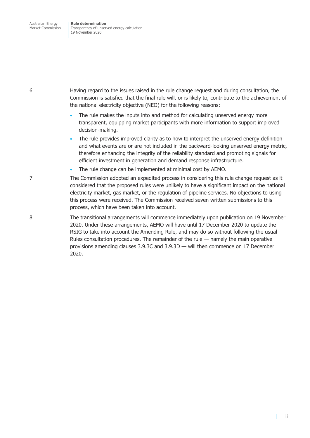6 Having regard to the issues raised in the rule change request and during consultation, the Commission is satisfied that the final rule will, or is likely to, contribute to the achievement of the national electricity objective (NEO) for the following reasons:

- The rule makes the inputs into and method for calculating unserved energy more transparent, equipping market participants with more information to support improved decision-making.
- The rule provides improved clarity as to how to interpret the unserved energy definition and what events are or are not included in the backward-looking unserved energy metric, therefore enhancing the integrity of the reliability standard and promoting signals for efficient investment in generation and demand response infrastructure.
- The rule change can be implemented at minimal cost by AEMO.

7 The Commission adopted an expedited process in considering this rule change request as it considered that the proposed rules were unlikely to have a significant impact on the national electricity market, gas market, or the regulation of pipeline services. No objections to using this process were received. The Commission received seven written submissions to this process, which have been taken into account.

8 The transitional arrangements will commence immediately upon publication on 19 November 2020. Under these arrangements, AEMO will have until 17 December 2020 to update the RSIG to take into account the Amending Rule, and may do so without following the usual Rules consultation procedures. The remainder of the rule — namely the main operative provisions amending clauses 3.9.3C and 3.9.3D — will then commence on 17 December 2020.

 $\mathbf{I}$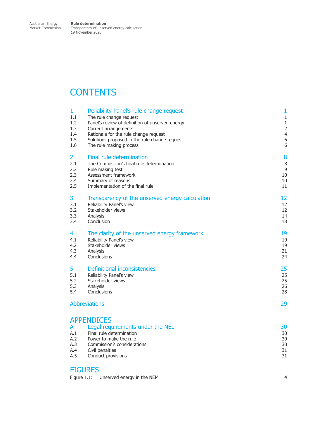## **CONTENTS**

| $\mathbf{1}$                         | Reliability Panel's rule change request                                                                                                                                             | $\mathbf{1}$                     |
|--------------------------------------|-------------------------------------------------------------------------------------------------------------------------------------------------------------------------------------|----------------------------------|
| 1.1                                  | The rule change request                                                                                                                                                             | $\mathbf{1}$                     |
| 1.2                                  | Panel's review of definition of unserved energy                                                                                                                                     | $\mathbf{1}$                     |
| 1.3                                  | Current arrangements                                                                                                                                                                | $\overline{c}$                   |
| $1.4^{\circ}$                        | Rationale for the rule change request                                                                                                                                               | $\overline{a}$                   |
| 1.5                                  | Solutions proposed in the rule change request                                                                                                                                       | 6                                |
| 1.6                                  | The rule making process                                                                                                                                                             | 6                                |
| $\overline{2}$                       | Final rule determination                                                                                                                                                            | 8                                |
| 2.1                                  | The Commission's final rule determination                                                                                                                                           | 8                                |
| 2.2                                  | Rule making test                                                                                                                                                                    | 9                                |
| 2.3                                  | Assessment framework                                                                                                                                                                | 10                               |
| 2.4                                  | Summary of reasons                                                                                                                                                                  | 10                               |
| 2.5                                  | Implementation of the final rule                                                                                                                                                    | 11                               |
| 3                                    | Transparency of the unserved energy calculation                                                                                                                                     | 12                               |
| 3.1                                  | Reliability Panel's view                                                                                                                                                            | 12                               |
| 3.2                                  | Stakeholder views                                                                                                                                                                   | 12                               |
| 3.3                                  | Analysis                                                                                                                                                                            | 14                               |
| 3.4                                  | Conclusion                                                                                                                                                                          | 18                               |
| 4                                    | The clarity of the unserved energy framework                                                                                                                                        | 19                               |
| 4.1                                  | Reliability Panel's view                                                                                                                                                            | 19                               |
| 4.2                                  | Stakeholder views                                                                                                                                                                   | 19                               |
| 4.3                                  | Analysis                                                                                                                                                                            | 21                               |
| 4.4                                  | Conclusions                                                                                                                                                                         | 24                               |
| 5                                    | <b>Definitional inconsistencies</b>                                                                                                                                                 | 25                               |
| 5.1                                  | Reliability Panel's view                                                                                                                                                            | 25                               |
| 5.2                                  | Stakeholder views                                                                                                                                                                   | 25                               |
| 5.3                                  | Analysis                                                                                                                                                                            | 26                               |
| 5.4                                  | Conclusions                                                                                                                                                                         | 28                               |
| <b>Abbreviations</b><br>29           |                                                                                                                                                                                     |                                  |
| A<br>A.1<br>A.2<br>A.3<br>A.4<br>A.5 | <b>APPENDICES</b><br>Legal requirements under the NEL<br>Final rule determination<br>Power to make the rule<br>Commission's considerations<br>Civil penalties<br>Conduct provisions | 30<br>30<br>30<br>30<br>31<br>31 |
|                                      |                                                                                                                                                                                     |                                  |

### **FIGURES**

[Figure 1.1: Unserved energy in the NEM](#page-8-0) 4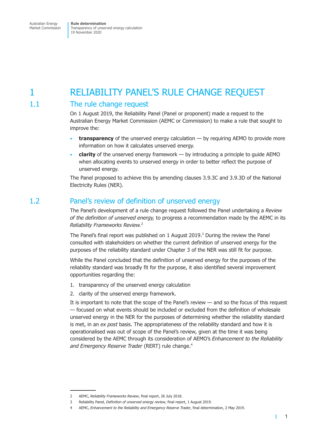### <span id="page-5-0"></span>1 RELIABILITY PANEL'S RULE CHANGE REQUEST

### 1.1 The rule change request

On 1 August 2019, the Reliability Panel (Panel or proponent) made a request to the Australian Energy Market Commission (AEMC or Commission) to make a rule that sought to improve the:

- **transparency** of the unserved energy calculation by requiring AEMO to provide more information on how it calculates unserved energy.
- **clarity** of the unserved energy framework by introducing a principle to guide AEMO when allocating events to unserved energy in order to better reflect the purpose of unserved energy.

The Panel proposed to achieve this by amending clauses 3.9.3C and 3.9.3D of the National Electricity Rules (NER).

### 1.2 Panel's review of definition of unserved energy

The Panel's development of a rule change request followed the Panel undertaking a *Review of the definition of unserved energy,* to progress a recommendation made by the AEMC in its *Reliability Frameworks Review.*<sup>2</sup>

The Panel's final report was published on 1 August 2019.<sup>3</sup> During the review the Panel consulted with stakeholders on whether the current definition of unserved energy for the purposes of the reliability standard under Chapter 3 of the NER was still fit for purpose.

While the Panel concluded that the definition of unserved energy for the purposes of the reliability standard was broadly fit for the purpose, it also identified several improvement opportunities regarding the:

- 1. transparency of the unserved energy calculation
- 2. clarity of the unserved energy framework.

It is important to note that the scope of the Panel's review — and so the focus of this request — focused on what events should be included or excluded from the definition of wholesale unserved energy in the NER for the purposes of determining whether the reliability standard is met, in an *ex post* basis. The appropriateness of the reliability standard and how it is operationalised was out of scope of the Panel's review, given at the time it was being considered by the AEMC through its consideration of AEMO's *Enhancement to the Reliability* and Emergency Reserve Trader (RERT) rule change.<sup>4</sup>

т

<sup>2</sup> AEMC, *Reliability Frameworks Review*, final report, 26 July 2018.

<sup>3</sup> Reliability Panel, *Definition of unserved energy review*, final report, 1 August 2019.

<sup>4</sup> AEMC, *Enhancement to the Reliability and Emergency Reserve Trader*, final determination, 2 May 2019.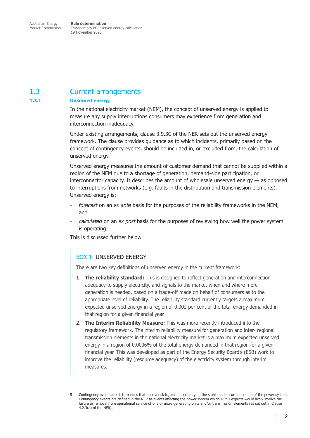### <span id="page-6-0"></span>1.3 Current arrangements

#### **1.3.1 Unserved energy**

In the national electricity market (NEM), the concept of unserved energy is applied to measure any supply interruptions consumers may experience from generation and interconnection inadequacy.

Under existing arrangements, clause 3.9.3C of the NER sets out the unserved energy framework. The clause provides guidance as to which incidents, primarily based on the concept of contingency events, should be included in, or excluded from, the calculation of unserved energy.<sup>5</sup>

Unserved energy measures the amount of customer demand that cannot be supplied within a region of the NEM due to a shortage of generation, demand-side participation, or interconnector capacity. It describes the amount of wholesale unserved energy — as opposed to interruptions from networks (e.g. faults in the distribution and transmission elements). Unserved energy is:

- *forecast* on an *ex ante* basis for the purposes of the reliability frameworks in the NEM, and
- *calculated* on an *ex post* basis for the purposes of reviewing how well the power system is operating.

This is discussed further below.

### BOX 1: UNSERVED ENERGY

There are two key definitions of unserved energy in the current framework:

- 1. **The reliability standard:** This is designed to reflect generation and interconnection adequacy to supply electricity, and signals to the market when and where more generation is needed, based on a trade-off made on behalf of consumers as to the appropriate level of reliability. The reliability standard currently targets a maximum expected unserved energy in a region of 0.002 per cent of the total energy demanded in that region for a given financial year.
- 2. **The Interim Reliability Measure:** This was more recently introduced into the regulatory framework. The interim reliability measure for generation and inter- regional transmission elements in the national electricity market is a maximum expected unserved energy in a region of 0.0006% of the total energy demanded in that region for a given financial year. This was developed as part of the Energy Security Board's (ESB) work to improve the reliability (resource adequacy) of the electricity system through interim measures.

г

<sup>5</sup> Contingency events are disturbances that pose a risk to, and uncertainty in, the stable and secure operation of the power system. Contingency events are defined in the NER as events affecting the power system which AEMO expects would likely involve the failure or removal from operational service of one or more generating units and/or transmission elements (as set out in Clause 4.2.3(a) of the NER).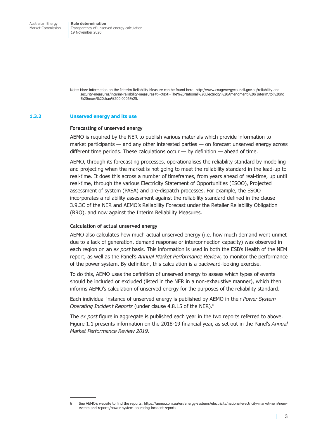Note: More information on the Interim Reliability Measure can be found here: http://www.coagenergycouncil.gov.au/reliability-andsecurity-measures/interim-reliability-measures#:~:text=The%20National%20Electricity%20Amendment%20(Interim,to%20no %20more%20than%200.0006%25.

#### **1.3.2 Unserved energy and its use**

#### **Forecasting of unserved energy**

AEMO is required by the NER to publish various materials which provide information to market participants — and any other interested parties — on forecast unserved energy across different time periods. These calculations occur  $-$  by definition  $-$  ahead of time.

AEMO, through its forecasting processes, operationalises the reliability standard by modelling and projecting when the market is not going to meet the reliability standard in the lead-up to real-time. It does this across a number of timeframes, from years ahead of real-time, up until real-time, through the various Electricity Statement of Opportunities (ESOO), Projected assessment of system (PASA) and pre-dispatch processes. For example, the ESOO incorporates a reliability assessment against the reliability standard defined in the clause 3.9.3C of the NER and AEMO's Reliability Forecast under the Retailer Reliability Obligation (RRO), and now against the Interim Reliability Measures.

#### **Calculation of actual unserved energy**

AEMO also calculates how much actual unserved energy (i.e. how much demand went unmet due to a lack of generation, demand response or interconnection capacity) was observed in each region on an *ex post* basis. This information is used in both the ESB's Health of the NEM report, as well as the Panel's *Annual Market Performance Review*, to monitor the performance of the power system. By definition, this calculation is a backward-looking exercise.

To do this, AEMO uses the definition of unserved energy to assess which types of events should be included or excluded (listed in the NER in a non-exhaustive manner), which then informs AEMO's calculation of unserved energy for the purposes of the reliability standard.

Each individual instance of unserved energy is published by AEMO in their *Power System Operating Incident Reports* (under clause 4.8.15 of the NER).6

The *ex post* figure in aggregate is published each year in the two reports referred to above. Figure 1.1 presents information on the 2018-19 financial year, as set out in the Panel's *Annual Market Performance Review 2019*.

П

<sup>6</sup> See AEMO's website to find the reports: https://aemo.com.au/en/energy-systems/electricity/national-electricity-market-nem/nemevents-and-reports/power-system-operating-incident-reports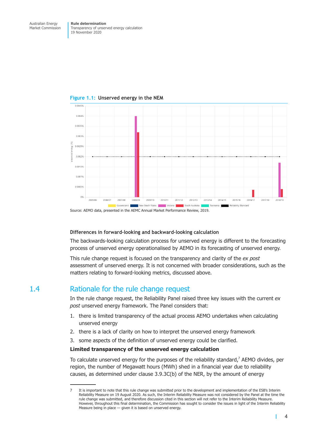

<span id="page-8-0"></span>**Figure 1.1: Unserved energy in the NEM**

Source: AEMO data, presented in the AEMC Annual Market Performance Review, 2019.

#### **Differences in forward-looking and backward-looking calculation**

The backwards-looking calculation process for unserved energy is different to the forecasting process of unserved energy operationalised by AEMO in its forecasting of unserved energy.

This rule change request is focused on the transparency and clarity of the *ex post* assessment of unserved energy. It is not concerned with broader considerations, such as the matters relating to forward-looking metrics, discussed above.

### 1.4 Rationale for the rule change request

In the rule change request, the Reliability Panel raised three key issues with the current *ex post* unserved energy framework. The Panel considers that:

- 1. there is limited transparency of the actual process AEMO undertakes when calculating unserved energy
- 2. there is a lack of clarity on how to interpret the unserved energy framework
- 3. some aspects of the definition of unserved energy could be clarified.

#### **Limited transparency of the unserved energy calculation**

To calculate unserved energy for the purposes of the reliability standard, $7$  AEMO divides, per region, the number of Megawatt hours (MWh) shed in a financial year due to reliability causes, as determined under clause 3.9.3C(b) of the NER, by the amount of energy

П

<sup>7</sup> It is important to note that this rule change was submitted prior to the development and implementation of the ESB's Interim Reliability Measure on 19 August 2020. As such, the Interim Reliability Measure was not considered by the Panel at the time the rule change was submitted, and therefore discussion cited in this section will not refer to the Interim Reliability Measure. However, throughout this final determination, the Commission has sought to consider the issues in light of the Interim Reliability Measure being in place — given it is based on unserved energy.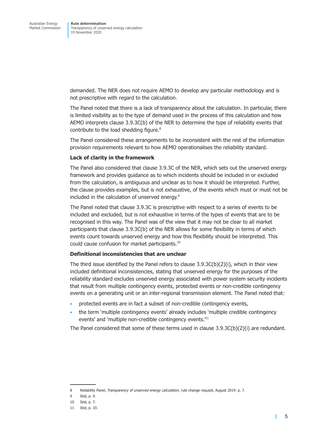demanded. The NER does not require AEMO to develop any particular methodology and is not prescriptive with regard to the calculation.

The Panel noted that there is a lack of transparency about the calculation. In particular, there is limited visibility as to the type of demand used in the process of this calculation and how AEMO interprets clause 3.9.3C(b) of the NER to determine the type of reliability events that contribute to the load shedding figure.<sup>8</sup>

The Panel considered these arrangements to be inconsistent with the rest of the information provision requirements relevant to how AEMO operationalises the reliability standard.

#### **Lack of clarity in the framework**

The Panel also considered that clause 3.9.3C of the NER, which sets out the unserved energy framework and provides guidance as to which incidents should be included in or excluded from the calculation, is ambiguous and unclear as to how it should be interpreted. Further, the clause provides examples, but is not exhaustive, of the events which must or must not be included in the calculation of unserved energy.<sup>9</sup>

The Panel noted that clause 3.9.3C is prescriptive with respect to a series of events to be included and excluded, but is not exhaustive in terms of the types of events that are to be recognised in this way. The Panel was of the view that it may not be clear to all market participants that clause 3.9.3C(b) of the NER allows for some flexibility in terms of which events count towards unserved energy and how this flexibility should be interpreted. This could cause confusion for market participants.10

#### **Definitional inconsistencies that are unclear**

The third issue identified by the Panel refers to clause  $3.9.3C(b)(2)(i)$ , which in their view included definitional inconsistencies, stating that unserved energy for the purposes of the reliability standard excludes unserved energy associated with power system security incidents that result from multiple contingency events, protected events or non-credible contingency events on a generating unit or an inter-regional transmission element. The Panel noted that:

- protected events are in fact a subset of non-credible contingency events,
- the term 'multiple contingency events' already includes 'multiple credible contingency events' and 'multiple non-credible contingency events.<sup>'11</sup>

The Panel considered that some of these terms used in clause  $3.9.3C(b)(2)(i)$  are redundant.

т

<sup>8</sup> Reliability Panel, *Transparency of unserved energy calculation*, rule change request, August 2019. p. 7.

<sup>9</sup> Ibid, p. 9.

<sup>10</sup> Ibid, p. 7.

<sup>11</sup> Ibid, p. 10.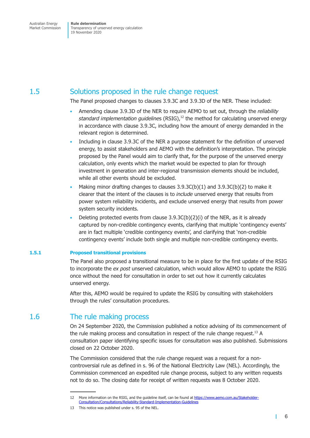### <span id="page-10-0"></span>1.5 Solutions proposed in the rule change request

The Panel proposed changes to clauses 3.9.3C and 3.9.3D of the NER. These included:

- Amending clause 3.9.3D of the NER to require AEMO to set out, through the *reliability standard implementation guidelines* (RSIG),<sup>12</sup> the method for calculating unserved energy in accordance with clause 3.9.3C, including how the amount of energy demanded in the relevant region is determined.
- Including in clause 3.9.3C of the NER a purpose statement for the definition of unserved energy, to assist stakeholders and AEMO with the definition's interpretation. The principle proposed by the Panel would aim to clarify that, for the purpose of the unserved energy calculation, only events which the market would be expected to plan for through investment in generation and inter-regional transmission elements should be included, while all other events should be excluded.
- Making minor drafting changes to clauses  $3.9.3C(b)(1)$  and  $3.9.3C(b)(2)$  to make it clearer that the intent of the clauses is to *include* unserved energy that results from power system reliability incidents, and exclude unserved energy that results from power system security incidents.
- Deleting protected events from clause  $3.9.3C(b)(2)(i)$  of the NER, as it is already captured by non-credible contingency events, clarifying that multiple 'contingency events' are in fact multiple 'credible contingency events', and clarifying that 'non-credible contingency events' include both single and multiple non-credible contingency events.

#### **1.5.1 Proposed transitional provisions**

The Panel also proposed a transitional measure to be in place for the first update of the RSIG to incorporate the *ex post* unserved calculation, which would allow AEMO to update the RSIG once without the need for consultation in order to set out how it currently calculates unserved energy.

After this, AEMO would be required to update the RSIG by consulting with stakeholders through the rules' consultation procedures.

### 1.6 The rule making process

On 24 September 2020, the Commission published a notice advising of its commencement of the rule making process and consultation in respect of the rule change request.<sup>13</sup> A consultation paper identifying specific issues for consultation was also published. Submissions closed on 22 October 2020.

The Commission considered that the rule change request was a request for a noncontroversial rule as defined in s. 96 of the National Electricity Law (NEL). Accordingly, the Commission commenced an expedited rule change process, subject to any written requests not to do so. The closing date for receipt of written requests was 8 October 2020.

T

<sup>12</sup> More information on the RSIG, and the guideline itself, can be found at [https://www.aemo.com.au/Stakeholder-](https://www.aemo.com.au/Stakeholder-Consultation/Consultations/Reliability-Standard-Implementation-Guidelines)[Consultation/Consultations/Reliability-Standard-Implementation-Guidelines](https://www.aemo.com.au/Stakeholder-Consultation/Consultations/Reliability-Standard-Implementation-Guidelines)

<sup>13</sup> This notice was published under s. 95 of the NEL.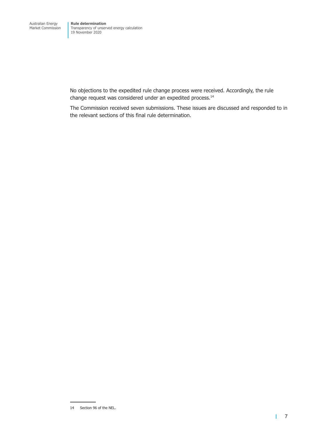No objections to the expedited rule change process were received. Accordingly, the rule change request was considered under an expedited process.<sup>14</sup>

The Commission received seven submissions. These issues are discussed and responded to in the relevant sections of this final rule determination.

<sup>14</sup> Section 96 of the NEL.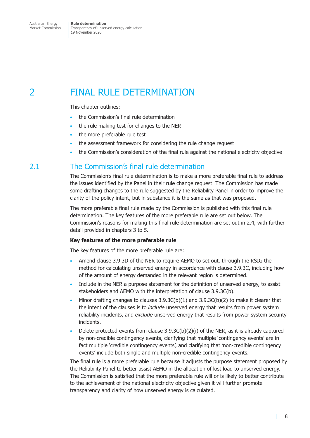### <span id="page-12-0"></span>2 FINAL RULE DETERMINATION

This chapter outlines:

- the Commission's final rule determination
- the rule making test for changes to the NER
- the more preferable rule test
- the assessment framework for considering the rule change request
- the Commission's consideration of the final rule against the national electricity objective

### 2.1 The Commission's final rule determination

The Commission's final rule determination is to make a more preferable final rule to address the issues identified by the Panel in their rule change request. The Commission has made some drafting changes to the rule suggested by the Reliability Panel in order to improve the clarity of the policy intent, but in substance it is the same as that was proposed.

The more preferable final rule made by the Commission is published with this final rule determination. The key features of the more preferable rule are set out below. The Commission's reasons for making this final rule determination are set out in 2.4, with further detail provided in chapters 3 to 5.

#### **Key features of the more preferable rule**

The key features of the more preferable rule are:

- Amend clause 3.9.3D of the NER to require AEMO to set out, through the RSIG the method for calculating unserved energy in accordance with clause 3.9.3C, including how of the amount of energy demanded in the relevant region is determined.
- Include in the NER a purpose statement for the definition of unserved energy, to assist stakeholders and AEMO with the interpretation of clause 3.9.3C(b).
- Minor drafting changes to clauses  $3.9.3C(b)(1)$  and  $3.9.3C(b)(2)$  to make it clearer that the intent of the clauses is to *include* unserved energy that results from power system reliability incidents, and *exclude* unserved energy that results from power system security incidents.
- Delete protected events from clause 3.9.3C(b)(2)(i) of the NER, as it is already captured by non-credible contingency events, clarifying that multiple 'contingency events' are in fact multiple 'credible contingency events', and clarifying that 'non-credible contingency events' include both single and multiple non-credible contingency events.

The final rule is a more preferable rule because it adjusts the purpose statement proposed by the Reliability Panel to better assist AEMO in the allocation of lost load to unserved energy. The Commission is satisfied that the more preferable rule will or is likely to better contribute to the achievement of the national electricity objective given it will further promote transparency and clarity of how unserved energy is calculated.

<span id="page-12-1"></span>T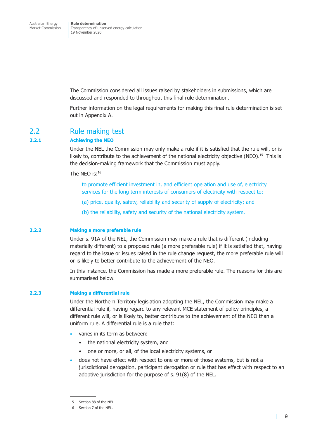<span id="page-13-0"></span>The Commission considered all issues raised by stakeholders in submissions, which are discussed and responded to throughout this final rule determination.

Further information on the legal requirements for making this final rule determination is set out in Appendix A.

#### 2.2 Rule making test

#### **2.2.1 Achieving the NEO**

Under the NEL the Commission may only make a rule if it is satisfied that the rule will, or is likely to, contribute to the achievement of the national electricity objective (NEO).<sup>15</sup> This is the decision-making framework that the Commission must apply.

The NEO is:<sup>16</sup>

to promote efficient investment in, and efficient operation and use of, electricity services for the long term interests of consumers of electricity with respect to:

- (a) price, quality, safety, reliability and security of supply of electricity; and
- (b) the reliability, safety and security of the national electricity system.

#### **2.2.2 Making a more preferable rule**

Under s. 91A of the NEL, the Commission may make a rule that is different (including materially different) to a proposed rule (a more preferable rule) if it is satisfied that, having regard to the issue or issues raised in the rule change request, the more preferable rule will or is likely to better contribute to the achievement of the NEO.

In this instance, the Commission has made a more preferable rule. The reasons for this are summarised below.

#### **2.2.3 Making a differential rule**

Under the Northern Territory legislation adopting the NEL, the Commission may make a differential rule if, having regard to any relevant MCE statement of policy principles, a different rule will, or is likely to, better contribute to the achievement of the NEO than a uniform rule. A differential rule is a rule that:

- varies in its term as between:
	- the national electricity system, and
	- one or more, or all, of the local electricity systems, or
- does not have effect with respect to one or more of those systems, but is not a jurisdictional derogation, participant derogation or rule that has effect with respect to an adoptive jurisdiction for the purpose of s. 91(8) of the NEL.

т

<sup>15</sup> Section 88 of the NEL.

<sup>16</sup> Section 7 of the NEL.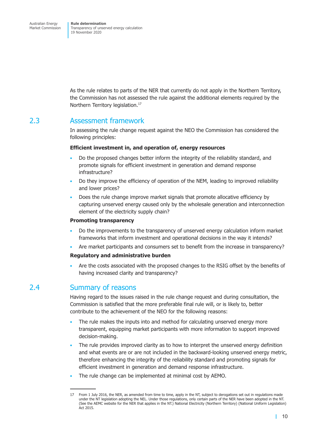<span id="page-14-0"></span>As the rule relates to parts of the NER that currently do not apply in the Northern Territory, the Commission has not assessed the rule against the additional elements required by the Northern Territory legislation.<sup>17</sup>

### 2.3 Assessment framework

In assessing the rule change request against the NEO the Commission has considered the following principles:

#### **Efficient investment in, and operation of, energy resources**

- Do the proposed changes better inform the integrity of the reliability standard, and promote signals for efficient investment in generation and demand response infrastructure?
- Do they improve the efficiency of operation of the NEM, leading to improved reliability and lower prices?
- Does the rule change improve market signals that promote allocative efficiency by capturing unserved energy caused only by the wholesale generation and interconnection element of the electricity supply chain?

#### **Promoting transparency**

- Do the improvements to the transparency of unserved energy calculation inform market frameworks that inform investment and operational decisions in the way it intends?
- Are market participants and consumers set to benefit from the increase in transparency?

#### **Regulatory and administrative burden**

<span id="page-14-1"></span>• Are the costs associated with the proposed changes to the RSIG offset by the benefits of having increased clarity and transparency?

### 2.4 Summary of reasons

Having regard to the issues raised in the rule change request and during consultation, the Commission is satisfied that the more preferable final rule will, or is likely to, better contribute to the achievement of the NEO for the following reasons:

- The rule makes the inputs into and method for calculating unserved energy more transparent, equipping market participants with more information to support improved decision-making.
- The rule provides improved clarity as to how to interpret the unserved energy definition and what events are or are not included in the backward-looking unserved energy metric, therefore enhancing the integrity of the reliability standard and promoting signals for efficient investment in generation and demand response infrastructure.
- The rule change can be implemented at minimal cost by AEMO.

<sup>17</sup> From 1 July 2016, the NER, as amended from time to time, apply in the NT, subject to derogations set out in regulations made under the NT legislation adopting the NEL. Under those regulations, only certain parts of the NER have been adopted in the NT. (See the AEMC website for the NER that applies in the NT.) National Electricity (Northern Territory) (National Uniform Legislation) Act 2015.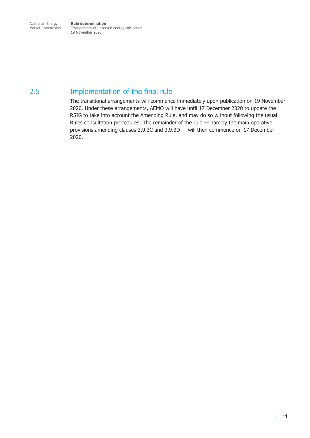### <span id="page-15-0"></span>2.5 Implementation of the final rule

The transitional arrangements will commence immediately upon publication on 19 November 2020. Under these arrangements, AEMO will have until 17 December 2020 to update the RSIG to take into account the Amending Rule, and may do so without following the usual Rules consultation procedures. The remainder of the rule — namely the main operative provisions amending clauses 3.9.3C and 3.9.3D — will then commence on 17 December 2020.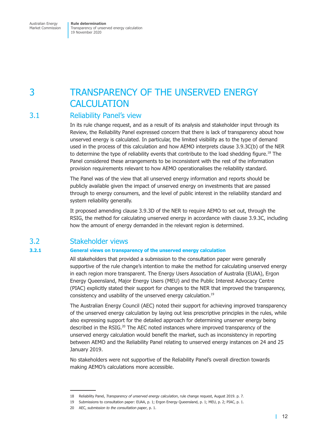### <span id="page-16-0"></span>3 TRANSPARENCY OF THE UNSERVED ENERGY **CALCULATION**

### 3.1 Reliability Panel's view

In its rule change request, and as a result of its analysis and stakeholder input through its Review, the Reliability Panel expressed concern that there is lack of transparency about how unserved energy is calculated. In particular, the limited visibility as to the type of demand used in the process of this calculation and how AEMO interprets clause 3.9.3C(b) of the NER to determine the type of reliability events that contribute to the load shedding figure.<sup>18</sup> The Panel considered these arrangements to be inconsistent with the rest of the information provision requirements relevant to how AEMO operationalises the reliability standard.

The Panel was of the view that all unserved energy information and reports should be publicly available given the impact of unserved energy on investments that are passed through to energy consumers, and the level of public interest in the reliability standard and system reliability generally.

It proposed amending clause 3.9.3D of the NER to require AEMO to set out, through the RSIG, the method for calculating unserved energy in accordance with clause 3.9.3C, including how the amount of energy demanded in the relevant region is determined.

### 3.2 Stakeholder views

#### **3.2.1 General views on transparency of the unserved energy calculation**

All stakeholders that provided a submission to the consultation paper were generally supportive of the rule change's intention to make the method for calculating unserved energy in each region more transparent. The Energy Users Association of Australia (EUAA), Ergon Energy Queensland, Major Energy Users (MEU) and the Public Interest Advocacy Centre (PIAC) explicitly stated their support for changes to the NER that improved the transparency, consistency and usability of the unserved energy calculation.<sup>19</sup>

The Australian Energy Council (AEC) noted their support for achieving improved transparency of the unserved energy calculation by laying out less prescriptive principles in the rules, while also expressing support for the detailed approach for determining unserver energy being described in the RSIG. $^{20}$  The AEC noted instances where improved transparency of the unserved energy calculation would benefit the market, such as inconsistency in reporting between AEMO and the Reliability Panel relating to unserved energy instances on 24 and 25 January 2019.

No stakeholders were not supportive of the Reliability Panel's overall direction towards making AEMO's calculations more accessible.

<sup>18</sup> Reliability Panel, *Transparency of unserved energy calculation*, rule change request, August 2019. p. 7.

<sup>19</sup> Submissions to consultation paper: EUAA, p. 1; Ergon Energy Queensland, p. 1; MEU, p. 2; PIAC, p. 1.

<sup>20</sup> AEC, *submission to the consultation paper*, p. 1.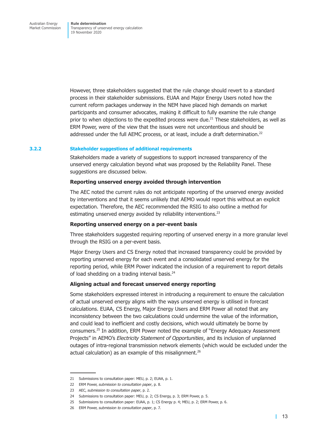However, three stakeholders suggested that the rule change should revert to a standard process in their stakeholder submissions. EUAA and Major Energy Users noted how the current reform packages underway in the NEM have placed high demands on market participants and consumer advocates, making it difficult to fully examine the rule change prior to when objections to the expedited process were due. $^{21}$  These stakeholders, as well as ERM Power, were of the view that the issues were not uncontentious and should be addressed under the full AEMC process, or at least, include a draft determination.<sup>22</sup>

#### **3.2.2 Stakeholder suggestions of additional requirements**

Stakeholders made a variety of suggestions to support increased transparency of the unserved energy calculation beyond what was proposed by the Reliability Panel. These suggestions are discussed below.

#### **Reporting unserved energy avoided through intervention**

The AEC noted the current rules do not anticipate reporting of the unserved energy avoided by interventions and that it seems unlikely that AEMO would report this without an explicit expectation. Therefore, the AEC recommended the RSIG to also outline a method for estimating unserved energy avoided by reliability interventions.<sup>23</sup>

#### **Reporting unserved energy on a per-event basis**

Three stakeholders suggested requiring reporting of unserved energy in a more granular level through the RSIG on a per-event basis.

Major Energy Users and CS Energy noted that increased transparency could be provided by reporting unserved energy for each event and a consolidated unserved energy for the reporting period, while ERM Power indicated the inclusion of a requirement to report details of load shedding on a trading interval basis.<sup>24</sup>

#### **Aligning actual and forecast unserved energy reporting**

Some stakeholders expressed interest in introducing a requirement to ensure the calculation of actual unserved energy aligns with the ways unserved energy is utilised in forecast calculations. EUAA, CS Energy, Major Energy Users and ERM Power all noted that any inconsistency between the two calculations could undermine the value of the information, and could lead to inefficient and costly decisions, which would ultimately be borne by consumers.25 In addition, ERM Power noted the example of "Energy Adequacy Assessment Projects" in AEMO's *Electricity Statement of Opportunities*, and its inclusion of unplanned outages of intra-regional transmission network elements (which would be excluded under the actual calculation) as an example of this misalignment. $26$ 

<sup>21</sup> Submissions to consultation paper: MEU, p. 2; EUAA, p. 1.

<sup>22</sup> ERM Power, *submission to consultation paper*, p. 8.

<sup>23</sup> AEC, *submission to consultation paper*, p. 2.

<sup>24</sup> Submissions to consultation paper: MEU, p. 2; CS Energy, p. 3; ERM Power, p. 5.

<sup>25</sup> Submissions to consultation paper: EUAA, p. 1; CS Energy p. 4; MEU, p. 2; ERM Power, p. 6.

<sup>26</sup> ERM Power, *submission to consultation paper*, p. 7.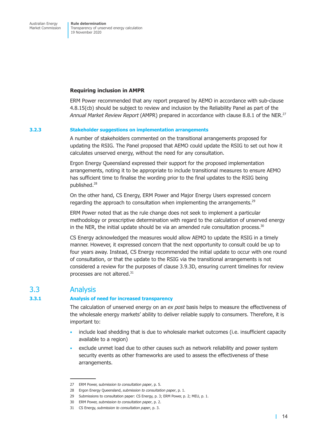#### <span id="page-18-0"></span>**Requiring inclusion in AMPR**

ERM Power recommended that any report prepared by AEMO in accordance with sub-clause 4.8.15(cb) should be subject to review and inclusion by the Reliability Panel as part of the *Annual Market Review Report* (AMPR) prepared in accordance with clause 8.8.1 of the NER.27

#### **3.2.3 Stakeholder suggestions on implementation arrangements**

A number of stakeholders commented on the transitional arrangements proposed for updating the RSIG. The Panel proposed that AEMO could update the RSIG to set out how it calculates unserved energy, without the need for any consultation.

Ergon Energy Queensland expressed their support for the proposed implementation arrangements, noting it to be appropriate to include transitional measures to ensure AEMO has sufficient time to finalise the wording prior to the final updates to the RSIG being published.28

On the other hand, CS Energy, ERM Power and Major Energy Users expressed concern regarding the approach to consultation when implementing the arrangements.<sup>29</sup>

ERM Power noted that as the rule change does not seek to implement a particular methodology or prescriptive determination with regard to the calculation of unserved energy in the NER, the initial update should be via an amended rule consultation process. $30$ 

CS Energy acknowledged the measures would allow AEMO to update the RSIG in a timely manner. However, it expressed concern that the next opportunity to consult could be up to four years away. Instead, CS Energy recommended the initial update to occur with one round of consultation, or that the update to the RSIG via the transitional arrangements is not considered a review for the purposes of clause 3.9.3D, ensuring current timelines for review processes are not altered.<sup>31</sup>

### 3.3 Analysis

#### **3.3.1 Analysis of need for increased transparency**

The calculation of unserved energy on an *ex post* basis helps to measure the effectiveness of the wholesale energy markets' ability to deliver reliable supply to consumers. Therefore, it is important to:

- include load shedding that is due to wholesale market outcomes (i.e. insufficient capacity available to a region)
- exclude unmet load due to other causes such as network reliability and power system security events as other frameworks are used to assess the effectiveness of these arrangements.

<sup>27</sup> ERM Power, s*ubmission to consultation paper*, p. 5.

<sup>28</sup> Ergon Energy Queensland, *submission to consultation paper*, p. 1.

<sup>29</sup> Submissions to consultation paper: CS Energy, p. 3; ERM Power, p. 2; MEU, p. 1.

<sup>30</sup> ERM Power, *submission to consultation paper*, p. 2.

<sup>31</sup> CS Energy, *submission to consultation paper*, p. 3.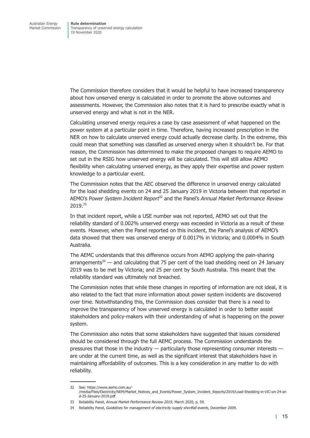The Commission therefore considers that it would be helpful to have increased transparency about how unserved energy is calculated in order to promote the above outcomes and assessments. However, the Commission also notes that it is hard to prescribe exactly what is unserved energy and what is not in the NER.

Calculating unserved energy requires a case by case assessment of what happened on the power system at a particular point in time. Therefore, having increased prescription in the NER on how to calculate unserved energy could actually decrease clarity. In the extreme, this could mean that something was classified as unserved energy when it shouldn't be. For that reason, the Commission has determined to make the proposed changes to require AEMO to set out in the RSIG how unserved energy will be calculated. This will still allow AEMO flexibility when calculating unserved energy, as they apply their expertise and power system knowledge to a particular event.

The Commission notes that the AEC observed the difference in unserved energy calculated for the load shedding events on 24 and 25 January 2019 in Victoria between that reported in AEMO's P*ower System Incident Report*32 and the Panel's *Annual Market Performance Review* 2019.33

In that incident report, while a USE number was not reported, AEMO set out that the reliability standard of 0.002% unserved energy was exceeded in Victoria as a result of these events. However, when the Panel reported on this incident, the Panel's analysis of AEMO's data showed that there was unserved energy of 0.0017% in Victoria; and 0.0004% in South Australia.

The AEMC understands that this difference occurs from AEMO applying the pain-sharing arrangements<sup>34</sup> — and calculating that 75 per cent of the load shedding need on 24 January 2019 was to be met by Victoria; and 25 per cent by South Australia. This meant that the reliability standard was ultimately not breached.

The Commission notes that while these changes in reporting of information are not ideal, it is also related to the fact that more information about power system incidents are discovered over time. Notwithstanding this, the Commission does consider that there is a need to improve the transparency of how unserved energy is calculated in order to better assist stakeholders and policy-makers with their understanding of what is happening on the power system.

The Commission also notes that some stakeholders have suggested that issues considered should be considered through the full AEMC process. The Commission understands the pressures that those in the industry — particularly those representing consumer interests are under at the current time, as well as the significant interest that stakeholders have in maintaining affordability of outcomes. This is a key consideration in any matter to do with reliability.

<sup>32</sup> See: https://www.aemo.com.au/- /media/Files/Electricity/NEM/Market\_Notices\_and\_Events/Power\_System\_Incident\_Reports/2019/Load-Shedding-in-VIC-on-24-an d-25-January-2019.pdf

<sup>33</sup> Reliability Panel, *Annual Market Performance Review 2019*, March 2020, p. 59.

<sup>34</sup> Reliability Panel, *Guidelines for management of electricity supply shortfall events*, December 2009.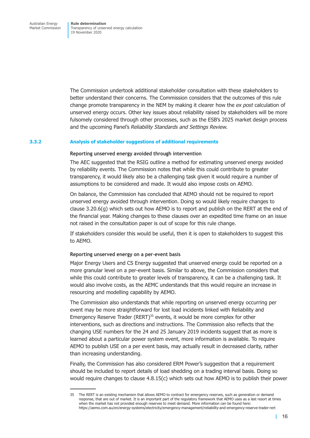The Commission undertook additional stakeholder consultation with these stakeholders to better understand their concerns. The Commission considers that the outcomes of this rule change promote transparency in the NEM by making it clearer how the *ex post* calculation of unserved energy occurs. Other key issues about reliability raised by stakeholders will be more fulsomely considered through other processes, such as the ESB's 2025 market design process and the upcoming Panel's *Reliability Standards and Settings Review.*

#### **3.3.2 Analysis of stakeholder suggestions of additional requirements**

#### **Reporting unserved energy avoided through intervention**

The AEC suggested that the RSIG outline a method for estimating unserved energy avoided by reliability events. The Commission notes that while this could contribute to greater transparency, it would likely also be a challenging task given it would require a number of assumptions to be considered and made. It would also impose costs on AEMO.

On balance, the Commission has concluded that AEMO should not be required to report unserved energy avoided through intervention. Doing so would likely require changes to clause 3.20.6(g) which sets out how AEMO is to report and publish on the RERT at the end of the financial year. Making changes to these clauses over an expedited time frame on an issue not raised in the consultation paper is out of scope for this rule change.

If stakeholders consider this would be useful, then it is open to stakeholders to suggest this to AEMO.

#### **Reporting unserved energy on a per-event basis**

Major Energy Users and CS Energy suggested that unserved energy could be reported on a more granular level on a per-event basis. Similar to above, the Commission considers that while this could contribute to greater levels of transparency, it can be a challenging task. It would also involve costs, as the AEMC understands that this would require an increase in resourcing and modelling capability by AEMO.

The Commission also understands that while reporting on unserved energy occurring per event may be more straightforward for lost load incidents linked with Reliability and Emergency Reserve Trader (RERT)<sup>35</sup> events, it would be more complex for other interventions, such as directions and instructions. The Commission also reflects that the changing USE numbers for the 24 and 25 January 2019 incidents suggest that as more is learned about a particular power system event, more information is available. To require AEMO to publish USE on a per event basis, may actually result in decreased clarity, rather than increasing understanding.

Finally, the Commission has also considered ERM Power's suggestion that a requirement should be included to report details of load shedding on a trading interval basis. Doing so would require changes to clause 4.8.15(c) which sets out how AEMO is to publish their power

<sup>35</sup> The RERT is an existing mechanism that allows AEMO to contract for emergency reserves, such as generation or demand response, that are out of market. It is an important part of the regulatory framework that AEMO uses as a last resort at times when the market has not provided enough reserves to meet demand. More information can be found here: https://aemo.com.au/en/energy-systems/electricity/emergency-management/reliability-and-emergency-reserve-trader-rert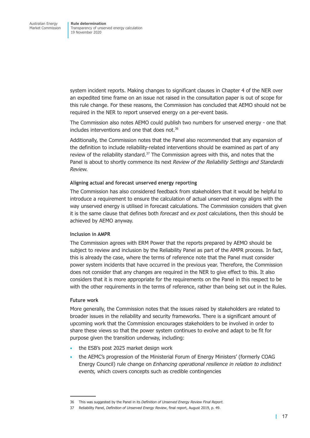system incident reports. Making changes to significant clauses in Chapter 4 of the NER over an expedited time frame on an issue not raised in the consultation paper is out of scope for this rule change. For these reasons, the Commission has concluded that AEMO should not be required in the NER to report unserved energy on a per-event basis.

The Commission also notes AEMO could publish two numbers for unserved energy - one that includes interventions and one that does not. $36$ 

Additionally, the Commission notes that the Panel also recommended that any expansion of the definition to include reliability-related interventions should be examined as part of any review of the reliability standard.<sup>37</sup> The Commission agrees with this, and notes that the Panel is about to shortly commence its next *Review of the Reliability Settings and Standards Review.* 

#### **Aligning actual and forecast unserved energy reporting**

The Commission has also considered feedback from stakeholders that it would be helpful to introduce a requirement to ensure the calculation of actual unserved energy aligns with the way unserved energy is utilised in forecast calculations. The Commission considers that given it is the same clause that defines both *forecast* and *ex post* calculations, then this should be achieved by AEMO anyway.

#### **Inclusion in AMPR**

The Commission agrees with ERM Power that the reports prepared by AEMO should be subject to review and inclusion by the Reliability Panel as part of the AMPR process. In fact, this is already the case, where the terms of reference note that the Panel must consider power system incidents that have occurred in the previous year. Therefore, the Commission does not consider that any changes are required in the NER to give effect to this. It also considers that it is more appropriate for the requirements on the Panel in this respect to be with the other requirements in the terms of reference, rather than being set out in the Rules.

#### **Future work**

More generally, the Commission notes that the issues raised by stakeholders are related to broader issues in the reliability and security frameworks. There is a significant amount of upcoming work that the Commission encourages stakeholders to be involved in order to share these views so that the power system continues to evolve and adapt to be fit for purpose given the transition underway, including:

- the ESB's post 2025 market design work
- the AEMC's progression of the Ministerial Forum of Energy Ministers' (formerly COAG Energy Council) rule change on *Enhancing operational resilience in relation to indistinct events,* which covers concepts such as credible contingencies

<sup>36</sup> This was suggested by the Panel in its *Definition of Unserved Energy Review Final Report.*

<sup>37</sup> Reliability Panel, *Definition of Unserved Energy Review*, final report, August 2019, p. 49.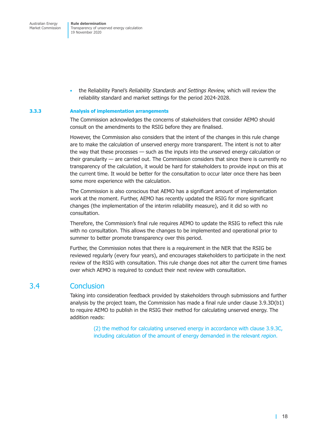<span id="page-22-0"></span>Australian Energy Market Commission **Rule determination** Transparency of unserved energy calculation 19 November 2020

• the Reliability Panel's *Reliability Standards and Settings Review,* which will review the reliability standard and market settings for the period 2024-2028.

#### **3.3.3 Analysis of implementation arrangements**

The Commission acknowledges the concerns of stakeholders that consider AEMO should consult on the amendments to the RSIG before they are finalised.

However, the Commission also considers that the intent of the changes in this rule change are to make the calculation of unserved energy more transparent. The intent is not to alter the way that these processes — such as the inputs into the unserved energy calculation or their granularity — are carried out. The Commission considers that since there is currently no transparency of the calculation, it would be hard for stakeholders to provide input on this at the current time. It would be better for the consultation to occur later once there has been some more experience with the calculation.

The Commission is also conscious that AEMO has a significant amount of implementation work at the moment. Further, AEMO has recently updated the RSIG for more significant changes (the implementation of the interim reliability measure), and it did so with no consultation.

Therefore, the Commission's final rule requires AEMO to update the RSIG to reflect this rule with no consultation. This allows the changes to be implemented and operational prior to summer to better promote transparency over this period.

Further, the Commission notes that there is a requirement in the NER that the RSIG be reviewed regularly (every four years), and encourages stakeholders to participate in the next review of the RSIG with consultation. This rule change does not alter the current time frames over which AEMO is required to conduct their next review with consultation.

### 3.4 Conclusion

Taking into consideration feedback provided by stakeholders through submissions and further analysis by the project team, the Commission has made a final rule under clause 3.9.3D(b1) to require AEMO to publish in the RSIG their method for calculating unserved energy. The addition reads:

> (2) the method for calculating unserved energy in accordance with clause 3.9.3C, including calculation of the amount of energy demanded in the relevant *region*.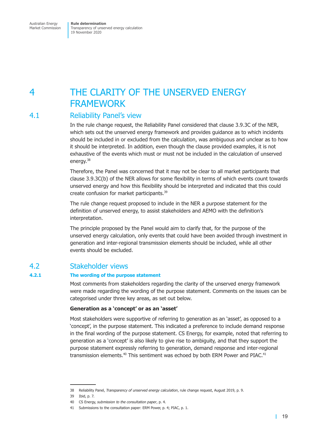### <span id="page-23-0"></span>4 THE CLARITY OF THE UNSERVED ENERGY FRAMEWORK

### 4.1 Reliability Panel's view

In the rule change request, the Reliability Panel considered that clause 3.9.3C of the NER, which sets out the unserved energy framework and provides guidance as to which incidents should be included in or excluded from the calculation, was ambiguous and unclear as to how it should be interpreted. In addition, even though the clause provided examples, it is not exhaustive of the events which must or must not be included in the calculation of unserved energy.<sup>38</sup>

Therefore, the Panel was concerned that it may not be clear to all market participants that clause 3.9.3C(b) of the NER allows for some flexibility in terms of which events count towards unserved energy and how this flexibility should be interpreted and indicated that this could create confusion for market participants.39

The rule change request proposed to include in the NER a purpose statement for the definition of unserved energy, to assist stakeholders and AEMO with the definition's interpretation.

The principle proposed by the Panel would aim to clarify that, for the purpose of the unserved energy calculation, only events that could have been avoided through investment in generation and inter-regional transmission elements should be included, while all other events should be excluded.

### 4.2 Stakeholder views

#### **4.2.1 The wording of the purpose statement**

Most comments from stakeholders regarding the clarity of the unserved energy framework were made regarding the wording of the purpose statement. Comments on the issues can be categorised under three key areas, as set out below.

#### **Generation as a 'concept' or as an 'asset'**

Most stakeholders were supportive of referring to generation as an 'asset', as opposed to a 'concept', in the purpose statement. This indicated a preference to include demand response in the final wording of the purpose statement. CS Energy, for example, noted that referring to generation as a 'concept' is also likely to give rise to ambiguity, and that they support the purpose statement expressly referring to generation, demand response and inter-regional transmission elements.<sup>40</sup> This sentiment was echoed by both ERM Power and PIAC.<sup>41</sup>

<sup>38</sup> Reliability Panel, *Transparency of unserved energy calculation*, rule change request, August 2019, p. 9.

<sup>39</sup> Ibid, p. 7.

<sup>40</sup> CS Energy, *submission to the consultation paper*, p. 4.

<sup>41</sup> Submissions to the consultation paper: ERM Power, p. 4; PIAC, p. 1.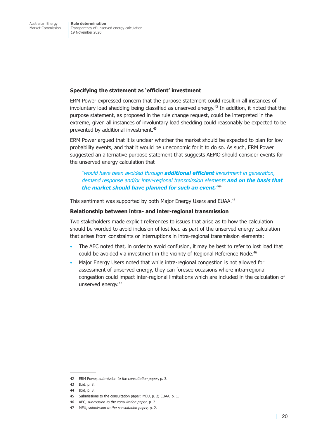#### **Specifying the statement as 'efficient' investment**

ERM Power expressed concern that the purpose statement could result in all instances of involuntary load shedding being classified as unserved energy.<sup>42</sup> In addition, it noted that the purpose statement, as proposed in the rule change request, could be interpreted in the extreme, given all instances of involuntary load shedding could reasonably be expected to be prevented by additional investment.<sup>43</sup>

ERM Power argued that it is unclear whether the market should be expected to plan for low probability events, and that it would be uneconomic for it to do so. As such, ERM Power suggested an alternative purpose statement that suggests AEMO should consider events for the unserved energy calculation that

*"would have been avoided through additional efficient investment in generation, demand response and/or inter-regional transmission elements and on the basis that the market should have planned for such an event."*<sup>44</sup>

This sentiment was supported by both Major Energy Users and EUAA.<sup>45</sup>

#### **Relationship between intra- and inter-regional transmission**

Two stakeholders made explicit references to issues that arise as to how the calculation should be worded to avoid inclusion of lost load as part of the unserved energy calculation that arises from constraints or interruptions in intra-regional transmission elements:

- The AEC noted that, in order to avoid confusion, it may be best to refer to lost load that could be avoided via investment in the vicinity of Regional Reference Node.<sup>46</sup>
- Major Energy Users noted that while intra-regional congestion is not allowed for assessment of unserved energy, they can foresee occasions where intra-regional congestion could impact inter-regional limitations which are included in the calculation of unserved energy.<sup>47</sup>

<sup>42</sup> ERM Power, *submission to the consultation paper*, p. 3.

<sup>43</sup> Ibid. p. 3.

<sup>44</sup> Ibid, p. 3.

<sup>45</sup> Submissions to the consultation paper: MEU, p. 2; EUAA, p. 1.

<sup>46</sup> AEC, *submission to the consultation paper*, p. 2.

<sup>47</sup> MEU, *submission to the consultation paper*, p. 2.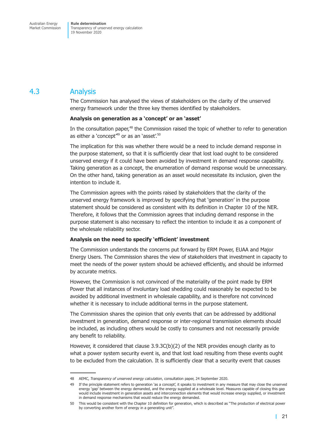### <span id="page-25-0"></span>4.3 Analysis

The Commission has analysed the views of stakeholders on the clarity of the unserved energy framework under the three key themes identified by stakeholders.

#### **Analysis on generation as a 'concept' or an 'asset'**

In the consultation paper,<sup>48</sup> the Commission raised the topic of whether to refer to generation as either a 'concept<sup>'49</sup> or as an 'asset'.<sup>50</sup>

The implication for this was whether there would be a need to include demand response in the purpose statement, so that it is sufficiently clear that lost load ought to be considered unserved energy if it could have been avoided by investment in demand response capability. Taking generation as a concept, the enumeration of demand response would be unnecessary. On the other hand, taking generation as an asset would necessitate its inclusion, given the intention to include it.

The Commission agrees with the points raised by stakeholders that the clarity of the unserved energy framework is improved by specifying that 'generation' in the purpose statement should be considered as consistent with its definition in Chapter 10 of the NER. Therefore, it follows that the Commission agrees that including demand response in the purpose statement is also necessary to reflect the intention to include it as a component of the wholesale reliability sector.

#### **Analysis on the need to specify 'efficient' investment**

The Commission understands the concerns put forward by ERM Power, EUAA and Major Energy Users. The Commission shares the view of stakeholders that investment in capacity to meet the needs of the power system should be achieved efficiently, and should be informed by accurate metrics.

However, the Commission is not convinced of the materiality of the point made by ERM Power that all instances of involuntary load shedding could reasonably be expected to be avoided by additional investment in wholesale capability, and is therefore not convinced whether it is necessary to include additional terms in the purpose statement.

The Commission shares the opinion that only events that can be addressed by additional investment in generation, demand response or inter-regional transmission elements should be included, as including others would be costly to consumers and not necessarily provide any benefit to reliability.

However, it considered that clause  $3.9.3C(b)(2)$  of the NER provides enough clarity as to what a power system security event is, and that lost load resulting from these events ought to be excluded from the calculation. It is sufficiently clear that a security event that causes

<sup>48</sup> AEMC, *Transparency of unserved energy calculation*, consultation paper, 24 September 2020.

<sup>49</sup> If the principle statement refers to generation 'as a concept', it speaks to investment in any measure that may close the unserved energy 'gap' between the energy demanded, and the energy supplied at a wholesale level. Measures capable of closing this gap would include investment in generation assets and interconnection elements that would increase energy supplied, or investment in demand response mechanisms that would reduce the energy demanded.

<sup>50</sup> This would be consistent with the Chapter 10 definition for generation, which is described as "The production of electrical power by converting another form of energy in a generating unit".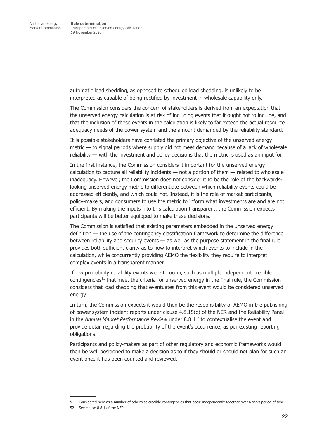automatic load shedding, as opposed to scheduled load shedding, is unlikely to be interpreted as capable of being rectified by investment in wholesale capability only.

The Commission considers the concern of stakeholders is derived from an expectation that the unserved energy calculation is at risk of including events that it ought not to include, and that the inclusion of these events in the calculation is likely to far exceed the actual resource adequacy needs of the power system and the amount demanded by the reliability standard.

It is possible stakeholders have conflated the primary objective of the unserved energy metric — to signal periods where supply did not meet demand because of a lack of wholesale reliability — with the investment and policy decisions that the metric is used as an input for.

In the first instance, the Commission considers it important for the unserved energy calculation to capture all reliability incidents — not a portion of them — related to wholesale inadequacy. However, the Commission does not consider it to be the role of the backwardslooking unserved energy metric to differentiate between which reliability events could be addressed efficiently, and which could not. Instead, it is the role of market participants, policy-makers, and consumers to use the metric to inform what investments are and are not efficient. By making the inputs into this calculation transparent, the Commission expects participants will be better equipped to make these decisions.

The Commission is satisfied that existing parameters embedded in the unserved energy definition — the use of the contingency classification framework to determine the difference between reliability and security events — as well as the purpose statement in the final rule provides both sufficient clarity as to how to interpret which events to include in the calculation, while concurrently providing AEMO the flexibility they require to interpret complex events in a transparent manner.

If low probability reliability events were to occur, such as multiple independent credible contingencies<sup>51</sup> that meet the criteria for unserved energy in the final rule, the Commission considers that load shedding that eventuates from this event would be considered unserved energy.

In turn, the Commission expects it would then be the responsibility of AEMO in the publishing of power system incident reports under clause 4.8.15(c) of the NER and the Reliability Panel in the *Annual Market Performance Review* under 8.8.152 to contextualise the event and provide detail regarding the probability of the event's occurrence, as per existing reporting obligations.

Participants and policy-makers as part of other regulatory and economic frameworks would then be well positioned to make a decision as to if they should or should not plan for such an event once it has been counted and reviewed.

<sup>51</sup> Considered here as a number of otherwise credible contingencies that occur independently together over a short period of time.

<sup>52</sup> See clause 8.8.1 of the NER.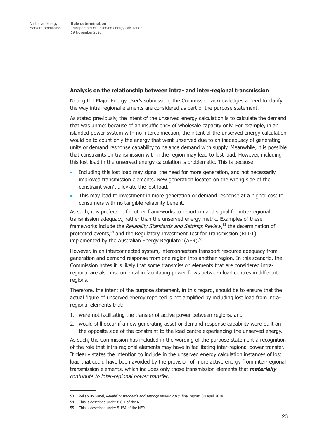#### **Analysis on the relationship between intra- and inter-regional transmission**

Noting the Major Energy User's submission, the Commission acknowledges a need to clarify the way intra-regional elements are considered as part of the purpose statement.

As stated previously, the intent of the unserved energy calculation is to calculate the demand that was unmet because of an insufficiency of wholesale capacity only. For example, in an islanded power system with no interconnection, the intent of the unserved energy calculation would be to count only the energy that went unserved due to an inadequacy of generating units or demand response capability to balance demand with supply. Meanwhile, it is possible that constraints on transmission within the region may lead to lost load. However, including this lost load in the unserved energy calculation is problematic. This is because:

- Including this lost load may signal the need for more generation, and not necessarily improved transmission elements. New generation located on the wrong side of the constraint won't alleviate the lost load.
- This may lead to investment in more generation or demand response at a higher cost to consumers with no tangible reliability benefit.

As such, it is preferable for other frameworks to report on and signal for intra-regional transmission adequacy, rather than the unserved energy metric. Examples of these frameworks include the *Reliability Standards and Settings Review*, 53 the determination of protected events.<sup>54</sup> and the Regulatory Investment Test for Transmission (RIT-T) implemented by the Australian Energy Regulator (AER).<sup>55</sup>

However, in an interconnected system, interconnectors transport resource adequacy from generation and demand response from one region into another region. In this scenario, the Commission notes it is likely that some transmission elements that are considered intraregional are also instrumental in facilitating power flows between load centres in different regions.

Therefore, the intent of the purpose statement, in this regard, should be to ensure that the actual figure of unserved energy reported is not amplified by including lost load from intraregional elements that:

- 1. were not facilitating the transfer of active power between regions, and
- 2. would still occur if a new generating asset or demand response capability were built on the opposite side of the constraint to the load centre experiencing the unserved energy.

As such, the Commission has included in the wording of the purpose statement a recognition of the role that intra-regional elements may have in facilitating inter-regional power transfer. It clearly states the intention to include in the unserved energy calculation instances of lost load that could have been avoided by the provision of more active energy from inter-regional transmission elements, which includes only those transmission elements that *materially contribute to inter-regional power transfer*.

<sup>53</sup> Reliability Panel, *Reliability standards and settings review 2018*, final report, 30 April 2018.

<sup>54</sup> This is described under 8.8.4 of the NER.

<sup>55</sup> This is described under 5.15A of the NER.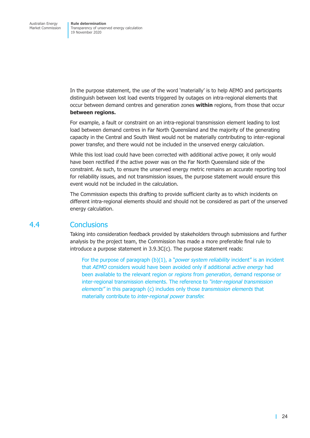<span id="page-28-0"></span>In the purpose statement, the use of the word 'materially' is to help AEMO and participants distinguish between lost load events triggered by outages on intra-regional elements that occur between demand centres and generation zones **within** regions, from those that occur **between regions.** 

For example, a fault or constraint on an intra-regional transmission element leading to lost load between demand centres in Far North Queensland and the majority of the generating capacity in the Central and South West would not be materially contributing to inter-regional power transfer, and there would not be included in the unserved energy calculation.

While this lost load could have been corrected with additional active power, it only would have been rectified if the active power was on the Far North Queensland side of the constraint. As such, to ensure the unserved energy metric remains an accurate reporting tool for reliability issues, and not transmission issues, the purpose statement would ensure this event would not be included in the calculation.

The Commission expects this drafting to provide sufficient clarity as to which incidents on different intra-regional elements should and should not be considered as part of the unserved energy calculation.

### 4.4 Conclusions

Taking into consideration feedback provided by stakeholders through submissions and further analysis by the project team, the Commission has made a more preferable final rule to introduce a purpose statement in 3.9.3C(c). The purpose statement reads:

For the purpose of paragraph (b)(1), a "*power system reliability* incident" is an incident that *AEMO* considers would have been avoided only if additional *active energy* had been available to the relevant region or *regions* from *generation*, demand response or inter-regional transmission elements. The reference to *"inter-regional transmission elements"* in this paragraph (c) includes only those *transmission elements* that materially contribute to *inter-regional power transfer.*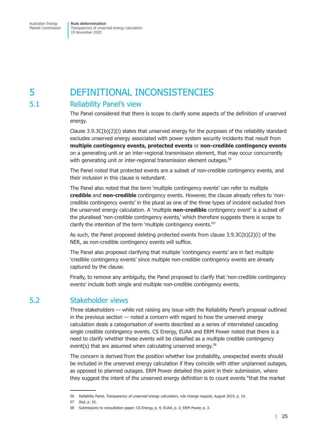# <span id="page-29-0"></span>5 DEFINITIONAL INCONSISTENCIES

### 5.1 Reliability Panel's view

The Panel considered that there is scope to clarify some aspects of the definition of unserved energy.

Clause  $3.9.3C(b)(2)(i)$  states that unserved energy for the purposes of the reliability standard excludes unserved energy associated with power system security incidents that result from **multiple contingency events, protected events** or **non-credible contingency events** on a generating unit or an inter-regional transmission element, that may occur concurrently with generating unit or inter-regional transmission element outages.<sup>56</sup>

The Panel noted that protected events are a subset of non-credible contingency events, and their inclusion in this clause is redundant.

The Panel also noted that the term 'multiple contingency events' can refer to multiple **credible** and **non-credible** contingency events. However, the clause already refers to 'noncredible contingency events' in the plural as one of the three types of incident excluded from the unserved energy calculation. A 'multiple **non-credible** contingency event' is a subset of the pluralised 'non-credible contingency events,' which therefore suggests there is scope to clarify the intention of the term 'multiple contingency events.<sup>'57</sup>

As such, the Panel proposed deleting protected events from clause 3.9.3C(b)(2)(i) of the NER, as non-credible contingency events will suffice.

The Panel also proposed clarifying that multiple 'contingency events' are in fact multiple 'credible contingency events' since multiple non-credible contingency events are already captured by the clause.

Finally, to remove any ambiguity, the Panel proposed to clarify that 'non-credible contingency events' include both single and multiple non-credible contingency events.

### 5.2 Stakeholder views

Three stakeholders — while not raising any issue with the Reliability Panel's proposal outlined in the previous section — noted a concern with regard to how the unserved energy calculation deals a categorisation of events described as a series of interrelated cascading single credible contingency events. CS Energy, EUAA and ERM Power noted that there is a need to clarify whether these events will be classified as a multiple credible contingency event(s) that are assumed when calculating unserved energy. $58$ 

The concern is derived from the position whether low probability, unexpected events should be included in the unserved energy calculation if they coincide with other unplanned outages, as opposed to planned outages. ERM Power detailed this point in their submission, where they suggest the intent of the unserved energy definition is to count events "that the market

<sup>56</sup> Reliability Panel, *Transparency of unserved energy calculation,* rule change request, August 2019, p. 10.

<sup>57</sup> Ibid, p. 10.

<sup>58</sup> Submissions to consultation paper: CS Energy, p. 4; EUAA, p. 2; ERM Power, p. 3.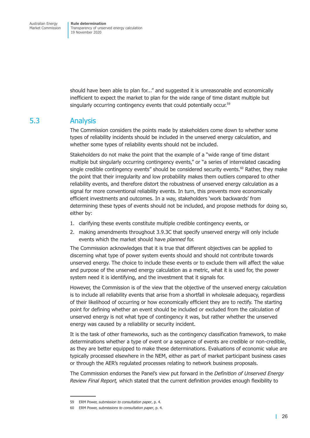<span id="page-30-0"></span>should have been able to plan for..." and suggested it is unreasonable and economically inefficient to expect the market to plan for the wide range of time distant multiple but singularly occurring contingency events that could potentially occur.<sup>59</sup>

### 5.3 Analysis

The Commission considers the points made by stakeholders come down to whether some types of reliability incidents should be included in the unserved energy calculation, and whether some types of reliability events should not be included.

Stakeholders do not make the point that the example of a "wide range of time distant multiple but singularly occurring contingency events," or "a series of interrelated cascading single credible contingency events" should be considered security events. $^{60}$  Rather, they make the point that their irregularity and low probability makes them outliers compared to other reliability events, and therefore distort the robustness of unserved energy calculation as a signal for more conventional reliability events. In turn, this prevents more economically efficient investments and outcomes. In a way, stakeholders 'work backwards' from determining these types of events should not be included, and propose methods for doing so, either by:

- 1. clarifying these events constitute multiple credible contingency events, or
- 2. making amendments throughout 3.9.3C that specify unserved energy will only include events which the market should have *planned* for.

The Commission acknowledges that it is true that different objectives can be applied to discerning what type of power system events should and should not contribute towards unserved energy. The choice to include these events or to exclude them will affect the value and purpose of the unserved energy calculation as a metric, what it is used for, the power system need it is identifying, and the investment that it signals for.

However, the Commission is of the view that the objective of the unserved energy calculation is to include all reliability events that arise from a shortfall in wholesale adequacy, regardless of their likelihood of occurring or how economically efficient they are to rectify. The starting point for defining whether an event should be included or excluded from the calculation of unserved energy is not what type of contingency it was, but rather whether the unserved energy was caused by a reliability or security incident.

It is the task of other frameworks, such as the contingency classification framework, to make determinations whether a type of event or a sequence of events are credible or non-credible, as they are better equipped to make these determinations. Evaluations of economic value are typically processed elsewhere in the NEM, either as part of market participant business cases or through the AER's regulated processes relating to network business proposals.

The Commission endorses the Panel's view put forward in the *Definition of Unserved Energy Review Final Report,* which stated that the current definition provides enough flexibility to

<sup>59</sup> ERM Power, *submission to consultation paper*, p. 4.

<sup>60</sup> ERM Power, *submissions to consultation paper*, p. 4.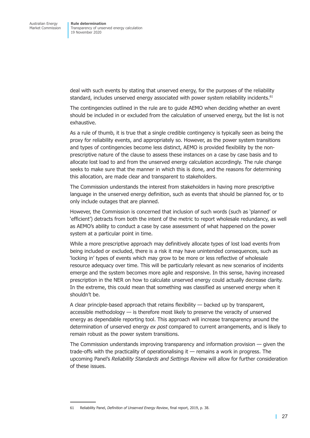deal with such events by stating that unserved energy, for the purposes of the reliability standard, includes unserved energy associated with power system reliability incidents.<sup>61</sup>

The contingencies outlined in the rule are to guide AEMO when deciding whether an event should be included in or excluded from the calculation of unserved energy, but the list is not exhaustive.

As a rule of thumb, it is true that a single credible contingency is typically seen as being the proxy for reliability events, and appropriately so. However, as the power system transitions and types of contingencies become less distinct, AEMO is provided flexibility by the nonprescriptive nature of the clause to assess these instances on a case by case basis and to allocate lost load to and from the unserved energy calculation accordingly. The rule change seeks to make sure that the manner in which this is done, and the reasons for determining this allocation, are made clear and transparent to stakeholders.

The Commission understands the interest from stakeholders in having more prescriptive language in the unserved energy definition, such as events that should be planned for, or to only include outages that are planned.

However, the Commission is concerned that inclusion of such words (such as 'planned' or 'efficient') detracts from both the intent of the metric to report wholesale redundancy, as well as AEMO's ability to conduct a case by case assessment of what happened on the power system at a particular point in time.

While a more prescriptive approach may definitively allocate types of lost load events from being included or excluded, there is a risk it may have unintended consequences, such as 'locking in' types of events which may grow to be more or less reflective of wholesale resource adequacy over time. This will be particularly relevant as new scenarios of incidents emerge and the system becomes more agile and responsive. In this sense, having increased prescription in the NER on how to calculate unserved energy could actually decrease clarity. In the extreme, this could mean that something was classified as unserved energy when it shouldn't be.

A clear principle-based approach that retains flexibility — backed up by transparent, accessible methodology — is therefore most likely to preserve the veracity of unserved energy as dependable reporting tool. This approach will increase transparency around the determination of unserved energy *ex post* compared to current arrangements, and is likely to remain robust as the power system transitions.

The Commission understands improving transparency and information provision — given the trade-offs with the practicality of operationalising it — remains a work in progress. The upcoming Panel's *Reliability Standards and Settings Review* will allow for further consideration of these issues.

<sup>61</sup> Reliability Panel, *Definition of Unserved Energy Review*, final report, 2019, p. 38.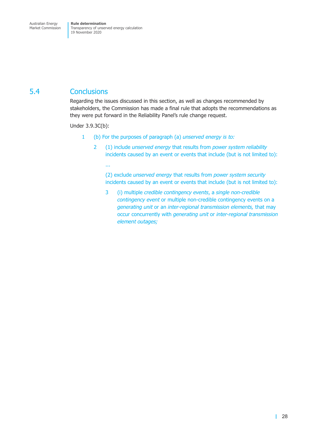### <span id="page-32-0"></span>5.4 Conclusions

Regarding the issues discussed in this section, as well as changes recommended by stakeholders, the Commission has made a final rule that adopts the recommendations as they were put forward in the Reliability Panel's rule change request.

Under 3.9.3C(b):

- 1 (b) For the purposes of paragraph (a) *unserved energy is to:*
	- 2 (1) include *unserved energy* that results from *power system reliability* incidents caused by an event or events that include (but is not limited to):

...

(2) exclude *unserved energy* that results from *power system security* incidents caused by an event or events that include (but is not limited to):

3 (i) multiple *credible contingency events*, a *single non-credible contingency event* or multiple non-credible contingency events on a *generating unit* or an *inter-regional transmission elements,* that may occur concurrently with *generating unit* or *inter-regional transmission element outages;*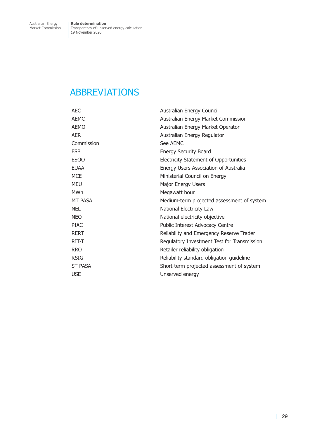### <span id="page-33-0"></span>ABBREVIATIONS

| <b>AEC</b>     | Australian Energy Council                     |
|----------------|-----------------------------------------------|
| <b>AEMC</b>    | Australian Energy Market Commission           |
| <b>AEMO</b>    | Australian Energy Market Operator             |
| <b>AER</b>     | Australian Energy Regulator                   |
| Commission     | See AEMC                                      |
| <b>ESB</b>     | <b>Energy Security Board</b>                  |
| ESOO           | <b>Electricity Statement of Opportunities</b> |
| <b>EUAA</b>    | Energy Users Association of Australia         |
| <b>MCE</b>     | Ministerial Council on Energy                 |
| <b>MEU</b>     | Major Energy Users                            |
| <b>MWh</b>     | Megawatt hour                                 |
| MT PASA        | Medium-term projected assessment of system    |
| <b>NEL</b>     | National Electricity Law                      |
| <b>NEO</b>     | National electricity objective                |
| <b>PIAC</b>    | Public Interest Advocacy Centre               |
| <b>RERT</b>    | Reliability and Emergency Reserve Trader      |
| RIT-T          | Regulatory Investment Test for Transmission   |
| <b>RRO</b>     | Retailer reliability obligation               |
| <b>RSIG</b>    | Reliability standard obligation guideline     |
| <b>ST PASA</b> | Short-term projected assessment of system     |
| <b>USE</b>     | Unserved energy                               |
|                |                                               |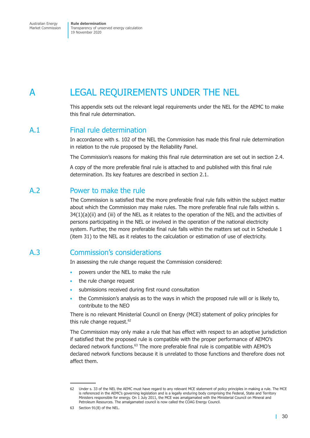<span id="page-34-0"></span>Australian Energy Market Commission **Rule determination** Transparency of unserved energy calculation 19 November 2020

## A LEGAL REQUIREMENTS UNDER THE NEL

This appendix sets out the relevant legal requirements under the NEL for the AEMC to make this final rule determination.

### A.1 Final rule determination

In accordance with s. 102 of the NEL the Commission has made this final rule determination in relation to the rule proposed by the Reliability Panel.

The Commission's reasons for making this final rule determination are set out in [section 2.4.](#page-14-1)

A copy of the more preferable final rule is attached to and published with this final rule determination. Its key features are described in [section 2.1.](#page-12-1)

### A.2 Power to make the rule

The Commission is satisfied that the more preferable final rule falls within the subject matter about which the Commission may make rules. The more preferable final rule falls within s. 34(1)(a)(ii) and (iii) of the NEL as it relates to the operation of the NEL and the activities of persons participating in the NEL or involved in the operation of the national electricity system. Further, the more preferable final rule falls within the matters set out in Schedule 1 (item 31) to the NEL as it relates to the calculation or estimation of use of electricity.

### A.3 Commission's considerations

In assessing the rule change request the Commission considered:

- powers under the NEL to make the rule
- the rule change request
- submissions received during first round consultation
- the Commission's analysis as to the ways in which the proposed rule will or is likely to, contribute to the NEO

There is no relevant Ministerial Council on Energy (MCE) statement of policy principles for this rule change request.<sup>62</sup>

The Commission may only make a rule that has effect with respect to an adoptive jurisdiction if satisfied that the proposed rule is compatible with the proper performance of AEMO's declared network functions.<sup>63</sup> The more preferable final rule is compatible with AEMO's declared network functions because it is unrelated to those functions and therefore does not affect them.

<sup>62</sup> Under s. 33 of the NEL the AEMC must have regard to any relevant MCE statement of policy principles in making a rule. The MCE is referenced in the AEMC's governing legislation and is a legally enduring body comprising the Federal, State and Territory Ministers responsible for energy. On 1 July 2011, the MCE was amalgamated with the Ministerial Council on Mineral and Petroleum Resources. The amalgamated council is now called the COAG Energy Council.

<sup>63</sup> Section 91(8) of the NEL.